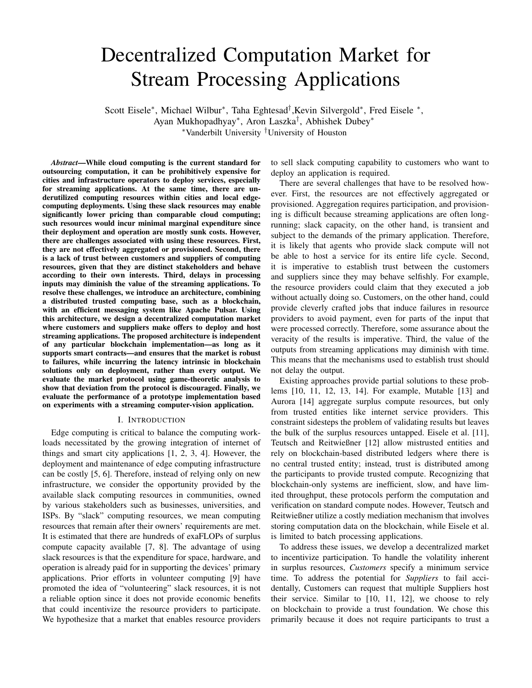# Decentralized Computation Market for Stream Processing Applications

Scott Eisele<sup>∗</sup>, Michael Wilbur<sup>∗</sup>, Taha Eghtesad<sup>†</sup>, Kevin Silvergold<sup>∗</sup>, Fred Eisele <sup>∗</sup>, Ayan Mukhopadhyay<sup>∗</sup> , Aron Laszka† , Abhishek Dubey<sup>∗</sup> <sup>∗</sup>Vanderbilt University †University of Houston

*Abstract*—While cloud computing is the current standard for outsourcing computation, it can be prohibitively expensive for cities and infrastructure operators to deploy services, especially for streaming applications. At the same time, there are underutilized computing resources within cities and local edgecomputing deployments. Using these slack resources may enable significantly lower pricing than comparable cloud computing; such resources would incur minimal marginal expenditure since their deployment and operation are mostly sunk costs. However, there are challenges associated with using these resources. First, they are not effectively aggregated or provisioned. Second, there is a lack of trust between customers and suppliers of computing resources, given that they are distinct stakeholders and behave according to their own interests. Third, delays in processing inputs may diminish the value of the streaming applications. To resolve these challenges, we introduce an architecture, combining a distributed trusted computing base, such as a blockchain, with an efficient messaging system like Apache Pulsar. Using this architecture, we design a decentralized computation market where customers and suppliers make offers to deploy and host streaming applications. The proposed architecture is independent of any particular blockchain implementation—as long as it supports smart contracts—and ensures that the market is robust to failures, while incurring the latency intrinsic in blockchain solutions only on deployment, rather than every output. We evaluate the market protocol using game-theoretic analysis to show that deviation from the protocol is discouraged. Finally, we evaluate the performance of a prototype implementation based on experiments with a streaming computer-vision application.

## I. INTRODUCTION

Edge computing is critical to balance the computing workloads necessitated by the growing integration of internet of things and smart city applications [1, 2, 3, 4]. However, the deployment and maintenance of edge computing infrastructure can be costly [5, 6]. Therefore, instead of relying only on new infrastructure, we consider the opportunity provided by the available slack computing resources in communities, owned by various stakeholders such as businesses, universities, and ISPs. By "slack" computing resources, we mean computing resources that remain after their owners' requirements are met. It is estimated that there are hundreds of exaFLOPs of surplus compute capacity available [7, 8]. The advantage of using slack resources is that the expenditure for space, hardware, and operation is already paid for in supporting the devices' primary applications. Prior efforts in volunteer computing [9] have promoted the idea of "volunteering" slack resources, it is not a reliable option since it does not provide economic benefits that could incentivize the resource providers to participate. We hypothesize that a market that enables resource providers

to sell slack computing capability to customers who want to deploy an application is required.

There are several challenges that have to be resolved however. First, the resources are not effectively aggregated or provisioned. Aggregation requires participation, and provisioning is difficult because streaming applications are often longrunning; slack capacity, on the other hand, is transient and subject to the demands of the primary application. Therefore, it is likely that agents who provide slack compute will not be able to host a service for its entire life cycle. Second, it is imperative to establish trust between the customers and suppliers since they may behave selfishly. For example, the resource providers could claim that they executed a job without actually doing so. Customers, on the other hand, could provide cleverly crafted jobs that induce failures in resource providers to avoid payment, even for parts of the input that were processed correctly. Therefore, some assurance about the veracity of the results is imperative. Third, the value of the outputs from streaming applications may diminish with time. This means that the mechanisms used to establish trust should not delay the output.

Existing approaches provide partial solutions to these problems [10, 11, 12, 13, 14]. For example, Mutable [13] and Aurora [14] aggregate surplus compute resources, but only from trusted entities like internet service providers. This constraint sidesteps the problem of validating results but leaves the bulk of the surplus resources untapped. Eisele et al. [11], Teutsch and Reitwießner [12] allow mistrusted entities and rely on blockchain-based distributed ledgers where there is no central trusted entity; instead, trust is distributed among the participants to provide trusted compute. Recognizing that blockchain-only systems are inefficient, slow, and have limited throughput, these protocols perform the computation and verification on standard compute nodes. However, Teutsch and Reitwießner utilize a costly mediation mechanism that involves storing computation data on the blockchain, while Eisele et al. is limited to batch processing applications.

To address these issues, we develop a decentralized market to incentivize participation. To handle the volatility inherent in surplus resources, *Customers* specify a minimum service time. To address the potential for *Suppliers* to fail accidentally, Customers can request that multiple Suppliers host their service. Similar to [10, 11, 12], we choose to rely on blockchain to provide a trust foundation. We chose this primarily because it does not require participants to trust a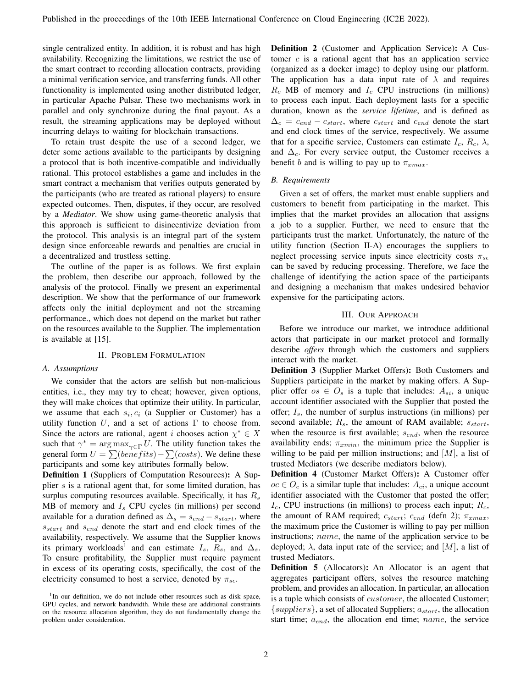single centralized entity. In addition, it is robust and has high availability. Recognizing the limitations, we restrict the use of the smart contract to recording allocation contracts, providing a minimal verification service, and transferring funds. All other functionality is implemented using another distributed ledger, in particular Apache Pulsar. These two mechanisms work in parallel and only synchronize during the final payout. As a result, the streaming applications may be deployed without incurring delays to waiting for blockchain transactions.

To retain trust despite the use of a second ledger, we deter some actions available to the participants by designing a protocol that is both incentive-compatible and individually rational. This protocol establishes a game and includes in the smart contract a mechanism that verifies outputs generated by the participants (who are treated as rational players) to ensure expected outcomes. Then, disputes, if they occur, are resolved by a *Mediator*. We show using game-theoretic analysis that this approach is sufficient to disincentivize deviation from the protocol. This analysis is an integral part of the system design since enforceable rewards and penalties are crucial in a decentralized and trustless setting.

The outline of the paper is as follows. We first explain the problem, then describe our approach, followed by the analysis of the protocol. Finally we present an experimental description. We show that the performance of our framework affects only the initial deployment and not the streaming performance., which does not depend on the market but rather on the resources available to the Supplier. The implementation is available at [15].

# II. PROBLEM FORMULATION

#### *A. Assumptions*

We consider that the actors are selfish but non-malicious entities, i.e., they may try to cheat; however, given options, they will make choices that optimize their utility. In particular, we assume that each  $s_i, c_i$  (a Supplier or Customer) has a utility function U, and a set of actions  $\Gamma$  to choose from. Since the actors are rational, agent i chooses action  $\chi^* \in X$ such that  $\gamma^* = \arg \max_{\gamma \in \Gamma} U$ . The utility function takes the general form  $U = \sum (benefits) - \sum (costs)$ . We define these participants and some key attributes formally below.

Definition 1 (Suppliers of Computation Resources): A Supplier  $s$  is a rational agent that, for some limited duration, has surplus computing resources available. Specifically, it has  $R_s$ MB of memory and  $I_s$  CPU cycles (in millions) per second available for a duration defined as  $\Delta_s = s_{end} - s_{start}$ , where  $s_{start}$  and  $s_{end}$  denote the start and end clock times of the availability, respectively. We assume that the Supplier knows its primary workloads<sup>1</sup> and can estimate  $I_s$ ,  $R_s$ , and  $\Delta_s$ . To ensure profitability, the Supplier must require payment in excess of its operating costs, specifically, the cost of the electricity consumed to host a service, denoted by  $\pi_{s\epsilon}$ .

Definition 2 (Customer and Application Service): A Customer  $c$  is a rational agent that has an application service (organized as a docker image) to deploy using our platform. The application has a data input rate of  $\lambda$  and requires  $R_c$  MB of memory and  $I_c$  CPU instructions (in millions) to process each input. Each deployment lasts for a specific duration, known as the *service lifetime*, and is defined as  $\Delta_c = c_{end} - c_{start}$ , where  $c_{start}$  and  $c_{end}$  denote the start and end clock times of the service, respectively. We assume that for a specific service, Customers can estimate  $I_c$ ,  $R_c$ ,  $\lambda$ , and  $\Delta_c$ . For every service output, the Customer receives a benefit b and is willing to pay up to  $\pi_{xmax}$ .

## *B. Requirements*

Given a set of offers, the market must enable suppliers and customers to benefit from participating in the market. This implies that the market provides an allocation that assigns a job to a supplier. Further, we need to ensure that the participants trust the market. Unfortunately, the nature of the utility function (Section II-A) encourages the suppliers to neglect processing service inputs since electricity costs  $\pi_{s\epsilon}$ can be saved by reducing processing. Therefore, we face the challenge of identifying the action space of the participants and designing a mechanism that makes undesired behavior expensive for the participating actors.

#### III. OUR APPROACH

Before we introduce our market, we introduce additional actors that participate in our market protocol and formally describe *offers* through which the customers and suppliers interact with the market.

Definition 3 (Supplier Market Offers): Both Customers and Suppliers participate in the market by making offers. A Supplier offer  $os \in O_s$  is a tuple that includes:  $A_{si}$ , a unique account identifier associated with the Supplier that posted the offer;  $I_s$ , the number of surplus instructions (in millions) per second available;  $R_s$ , the amount of RAM available;  $s_{start}$ , when the resource is first available;  $s_{end}$ , when the resource availability ends;  $\pi_{xmin}$ , the minimum price the Supplier is willing to be paid per million instructions; and  $[M]$ , a list of trusted Mediators (we describe mediators below).

Definition 4 (Customer Market Offers): A Customer offer  $oc \in O_c$  is a similar tuple that includes:  $A_{ci}$ , a unique account identifier associated with the Customer that posted the offer;  $I_c$ , CPU instructions (in millions) to process each input;  $R_c$ , the amount of RAM required;  $c_{start}$ ;  $c_{end}$  (defn 2);  $\pi_{xmax}$ , the maximum price the Customer is willing to pay per million instructions; *name*, the name of the application service to be deployed;  $\lambda$ , data input rate of the service; and  $|M|$ , a list of trusted Mediators.

Definition 5 (Allocators): An Allocator is an agent that aggregates participant offers, solves the resource matching problem, and provides an allocation. In particular, an allocation is a tuple which consists of *customer*, the allocated Customer;  $\{suppliers\}$ , a set of allocated Suppliers;  $a_{start}$ , the allocation start time;  $a_{end}$ , the allocation end time; name, the service

<sup>&</sup>lt;sup>1</sup>In our definition, we do not include other resources such as disk space, GPU cycles, and network bandwidth. While these are additional constraints on the resource allocation algorithm, they do not fundamentally change the problem under consideration.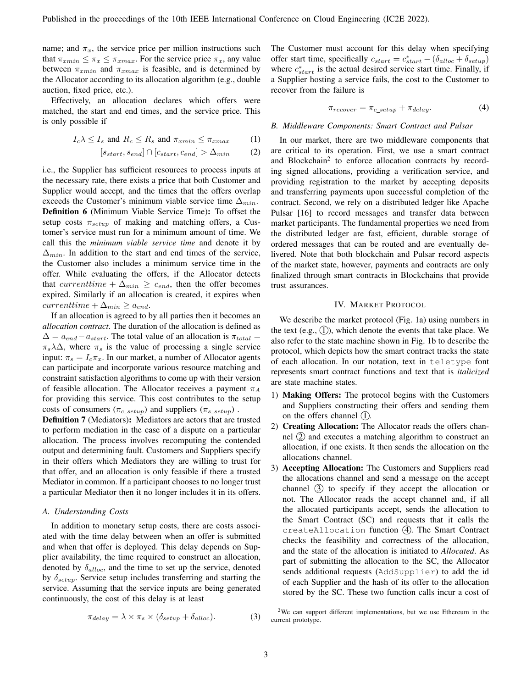name; and  $\pi_x$ , the service price per million instructions such that  $\pi_{xmin} \leq \pi_x \leq \pi_{xmax}$ . For the service price  $\pi_x$ , any value between  $\pi_{xmin}$  and  $\pi_{xmax}$  is feasible, and is determined by the Allocator according to its allocation algorithm (e.g., double auction, fixed price, etc.).

Effectively, an allocation declares which offers were matched, the start and end times, and the service price. This is only possible if

$$
I_c \lambda \le I_s \text{ and } R_c \le R_s \text{ and } \pi_{xmin} \le \pi_{xmax} \tag{1}
$$

$$
[s_{start}, s_{end}] \cap [c_{start}, c_{end}] > \Delta_{min} \tag{2}
$$

i.e., the Supplier has sufficient resources to process inputs at the necessary rate, there exists a price that both Customer and Supplier would accept, and the times that the offers overlap exceeds the Customer's minimum viable service time  $\Delta_{min}$ . Definition 6 (Minimum Viable Service Time): To offset the setup costs  $\pi_{setup}$  of making and matching offers, a Customer's service must run for a minimum amount of time. We call this the *minimum viable service time* and denote it by  $\Delta_{min}$ . In addition to the start and end times of the service, the Customer also includes a minimum service time in the offer. While evaluating the offers, if the Allocator detects that *currenttime* +  $\Delta_{min} \geq c_{end}$ , then the offer becomes expired. Similarly if an allocation is created, it expires when  $currenttime + \Delta_{min} \ge a_{end}.$ 

If an allocation is agreed to by all parties then it becomes an *allocation contract*. The duration of the allocation is defined as  $\Delta = a_{end} - a_{start}$ . The total value of an allocation is  $\pi_{total} =$  $\pi_s \lambda \Delta$ , where  $\pi_s$  is the value of processing a single service input:  $\pi_s = I_c \pi_x$ . In our market, a number of Allocator agents can participate and incorporate various resource matching and constraint satisfaction algorithms to come up with their version of feasible allocation. The Allocator receives a payment  $\pi_A$ for providing this service. This cost contributes to the setup costs of consumers ( $\pi_{c \ setup}$ ) and suppliers ( $\pi_{s \ setup}$ ).

Definition 7 (Mediators): Mediators are actors that are trusted to perform mediation in the case of a dispute on a particular allocation. The process involves recomputing the contended output and determining fault. Customers and Suppliers specify in their offers which Mediators they are willing to trust for that offer, and an allocation is only feasible if there a trusted Mediator in common. If a participant chooses to no longer trust a particular Mediator then it no longer includes it in its offers.

# *A. Understanding Costs*

In addition to monetary setup costs, there are costs associated with the time delay between when an offer is submitted and when that offer is deployed. This delay depends on Supplier availability, the time required to construct an allocation, denoted by  $\delta_{alloc}$ , and the time to set up the service, denoted by  $\delta_{setup}$ . Service setup includes transferring and starting the service. Assuming that the service inputs are being generated continuously, the cost of this delay is at least

 $\pi_{delay} = \lambda \times \pi_s \times (\delta_{setup} + \delta_{alloc}).$  (3)

The Customer must account for this delay when specifying offer start time, specifically  $c_{start} = c_{start}^* - (\delta_{alloc} + \delta_{setup})$ where  $c_{start}^*$  is the actual desired service start time. Finally, if a Supplier hosting a service fails, the cost to the Customer to recover from the failure is

$$
\pi_{recover} = \pi_{c\_setup} + \pi_{delay}.\tag{4}
$$

#### *B. Middleware Components: Smart Contract and Pulsar*

In our market, there are two middleware components that are critical to its operation. First, we use a smart contract and Blockchain<sup>2</sup> to enforce allocation contracts by recording signed allocations, providing a verification service, and providing registration to the market by accepting deposits and transferring payments upon successful completion of the contract. Second, we rely on a distributed ledger like Apache Pulsar [16] to record messages and transfer data between market participants. The fundamental properties we need from the distributed ledger are fast, efficient, durable storage of ordered messages that can be routed and are eventually delivered. Note that both blockchain and Pulsar record aspects of the market state, however, payments and contracts are only finalized through smart contracts in Blockchains that provide trust assurances.

## IV. MARKET PROTOCOL

We describe the market protocol (Fig. 1a) using numbers in the text (e.g.,  $(1)$ ), which denote the events that take place. We also refer to the state machine shown in Fig. 1b to describe the protocol, which depicts how the smart contract tracks the state of each allocation. In our notation, text in teletype font represents smart contract functions and text that is *italicized* are state machine states.

- 1) Making Offers: The protocol begins with the Customers and Suppliers constructing their offers and sending them on the offers channel  $(1)$ .
- 2) Creating Allocation: The Allocator reads the offers channel  $(2)$  and executes a matching algorithm to construct an allocation, if one exists. It then sends the allocation on the allocations channel.
- 3) Accepting Allocation: The Customers and Suppliers read the allocations channel and send a message on the accept channel  $(3)$  to specify if they accept the allocation or not. The Allocator reads the accept channel and, if all the allocated participants accept, sends the allocation to the Smart Contract (SC) and requests that it calls the createAllocation function 4. The Smart Contract checks the feasibility and correctness of the allocation, and the state of the allocation is initiated to *Allocated*. As part of submitting the allocation to the SC, the Allocator sends additional requests (AddSupplier) to add the id of each Supplier and the hash of its offer to the allocation stored by the SC. These two function calls incur a cost of

 $2$ We can support different implementations, but we use Ethereum in the current prototype.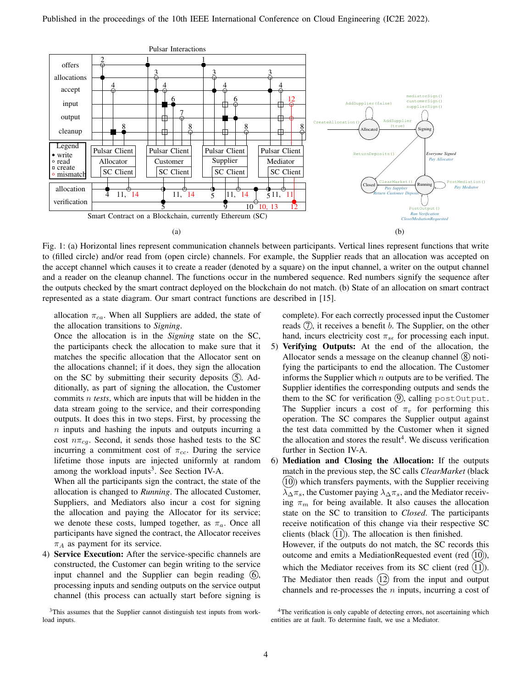

Fig. 1: (a) Horizontal lines represent communication channels between participants. Vertical lines represent functions that write to (filled circle) and/or read from (open circle) channels. For example, the Supplier reads that an allocation was accepted on the accept channel which causes it to create a reader (denoted by a square) on the input channel, a writer on the output channel and a reader on the cleanup channel. The functions occur in the numbered sequence. Red numbers signify the sequence after the outputs checked by the smart contract deployed on the blockchain do not match. (b) State of an allocation on smart contract represented as a state diagram. Our smart contract functions are described in [15].

allocation  $\pi_{ca}$ . When all Suppliers are added, the state of the allocation transitions to *Signing*.

Once the allocation is in the *Signing* state on the SC, the participants check the allocation to make sure that it matches the specific allocation that the Allocator sent on the allocations channel; if it does, they sign the allocation on the SC by submitting their security deposits  $(5)$ . Additionally, as part of signing the allocation, the Customer commits n *tests*, which are inputs that will be hidden in the data stream going to the service, and their corresponding outputs. It does this in two steps. First, by processing the n inputs and hashing the inputs and outputs incurring a cost  $n\pi_{cq}$ . Second, it sends those hashed tests to the SC incurring a commitment cost of  $\pi_{cc}$ . During the service lifetime those inputs are injected uniformly at random among the workload inputs<sup>3</sup>. See Section IV-A.

When all the participants sign the contract, the state of the allocation is changed to *Running*. The allocated Customer, Suppliers, and Mediators also incur a cost for signing the allocation and paying the Allocator for its service; we denote these costs, lumped together, as  $\pi_a$ . Once all participants have signed the contract, the Allocator receives  $\pi_A$  as payment for its service.

4) Service Execution: After the service-specific channels are constructed, the Customer can begin writing to the service input channel and the Supplier can begin reading  $(6)$ , processing inputs and sending outputs on the service output channel (this process can actually start before signing is

<sup>3</sup>This assumes that the Supplier cannot distinguish test inputs from workload inputs.

complete). For each correctly processed input the Customer reads  $(7)$ , it receives a benefit b. The Supplier, on the other hand, incurs electricity cost  $\pi_{s\epsilon}$  for processing each input.

- 5) Verifying Outputs: At the end of the allocation, the Allocator sends a message on the cleanup channel  $\circled{8}$  notifying the participants to end the allocation. The Customer informs the Supplier which  $n$  outputs are to be verified. The Supplier identifies the corresponding outputs and sends the them to the SC for verification  $(9)$ , calling postOutput. The Supplier incurs a cost of  $\pi_v$  for performing this operation. The SC compares the Supplier output against the test data committed by the Customer when it signed the allocation and stores the result<sup>4</sup>. We discuss verification further in Section IV-A.
- 6) Mediation and Closing the Allocation: If the outputs match in the previous step, the SC calls *ClearMarket* (black  $(10)$ ) which transfers payments, with the Supplier receiving  $\lambda_{\Delta}\pi_s$ , the Customer paying  $\lambda_{\Delta}\pi_s$ , and the Mediator receiving  $\pi_m$  for being available. It also causes the allocation state on the SC to transition to *Closed*. The participants receive notification of this change via their respective SC clients (black  $(11)$ ). The allocation is then finished. However, if the outputs do not match, the SC records this outcome and emits a MediationRequested event (red  $(10)$ ), which the Mediator receives from its SC client (red  $(11)$ ). The Mediator then reads  $(12)$  from the input and output channels and re-processes the  $n$  inputs, incurring a cost of

<sup>&</sup>lt;sup>4</sup>The verification is only capable of detecting errors, not ascertaining which entities are at fault. To determine fault, we use a Mediator.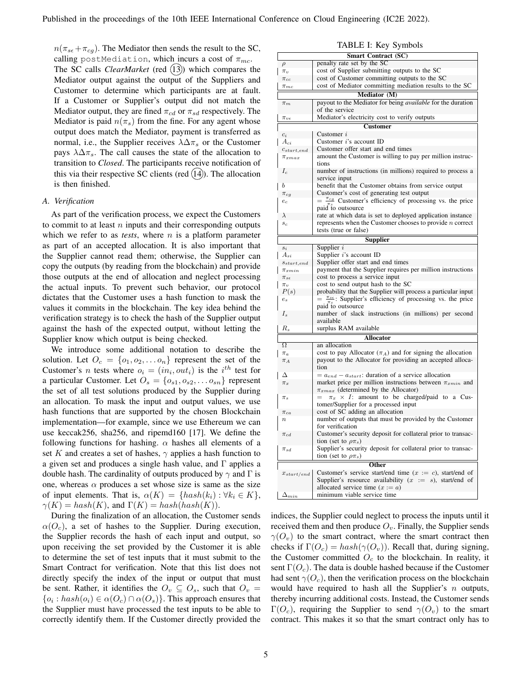$n(\pi_{s\epsilon}+\pi_{cg})$ . The Mediator then sends the result to the SC, calling postMediation, which incurs a cost of  $\pi_{mc}$ . The SC calls *ClearMarket* (red (13)) which compares the Mediator output against the output of the Suppliers and Customer to determine which participants are at fault. If a Customer or Supplier's output did not match the Mediator output, they are fined  $\pi_{cd}$  or  $\pi_{sd}$  respectively. The Mediator is paid  $n(\pi_s)$  from the fine. For any agent whose output does match the Mediator, payment is transferred as normal, i.e., the Supplier receives  $\lambda \Delta \pi_s$  or the Customer pays  $\lambda \Delta \pi_s$ . The call causes the state of the allocation to transition to *Closed*. The participants receive notification of this via their respective SC clients (red  $(14)$ ). The allocation is then finished.

## *A. Verification*

As part of the verification process, we expect the Customers to commit to at least  $n$  inputs and their corresponding outputs which we refer to as *tests*, where  $n$  is a platform parameter as part of an accepted allocation. It is also important that the Supplier cannot read them; otherwise, the Supplier can copy the outputs (by reading from the blockchain) and provide those outputs at the end of allocation and neglect processing the actual inputs. To prevent such behavior, our protocol dictates that the Customer uses a hash function to mask the values it commits in the blockchain. The key idea behind the verification strategy is to check the hash of the Supplier output against the hash of the expected output, without letting the Supplier know which output is being checked.

We introduce some additional notation to describe the solution. Let  $O_c = \{o_1, o_2, \ldots o_n\}$  represent the set of the Customer's *n* tests where  $o_i = (in_i, out_i)$  is the  $i^{th}$  test for a particular Customer. Let  $O_s = \{o_{s1}, o_{s2}, \ldots o_{sn}\}\$  represent the set of all test solutions produced by the Supplier during an allocation. To mask the input and output values, we use hash functions that are supported by the chosen Blockchain implementation—for example, since we use Ethereum we can use keccak256, sha256, and ripemd160 [17]. We define the following functions for hashing.  $\alpha$  hashes all elements of a set K and creates a set of hashes,  $\gamma$  applies a hash function to a given set and produces a single hash value, and Γ applies a double hash. The cardinality of outputs produced by  $\gamma$  and  $\Gamma$  is one, whereas  $\alpha$  produces a set whose size is same as the size of input elements. That is,  $\alpha(K) = \{hash(k_i) : \forall k_i \in K\},\$  $\gamma(K) = hash(K)$ , and  $\Gamma(K) = hash(hash(K))$ .

During the finalization of an allocation, the Customer sends  $\alpha(O_c)$ , a set of hashes to the Supplier. During execution, the Supplier records the hash of each input and output, so upon receiving the set provided by the Customer it is able to determine the set of test inputs that it must submit to the Smart Contract for verification. Note that this list does not directly specify the index of the input or output that must be sent. Rather, it identifies the  $O_v \subseteq O_s$ , such that  $O_v =$  $\{o_i: hash(o_i) \in \alpha(O_c) \cap \alpha(O_s)\}.$  This approach ensures that the Supplier must have processed the test inputs to be able to correctly identify them. If the Customer directly provided the

| TADLE I. REY SYMOOIS                 |                                                                                   |  |  |  |  |
|--------------------------------------|-----------------------------------------------------------------------------------|--|--|--|--|
| <b>Smart Contract (SC)</b>           |                                                                                   |  |  |  |  |
| penalty rate set by the SC<br>$\rho$ |                                                                                   |  |  |  |  |
| $\pi_v$                              | cost of Supplier submitting outputs to the SC                                     |  |  |  |  |
| $\pi_{cc}$                           | cost of Customer committing outputs to the SC                                     |  |  |  |  |
| $\pi_{mc}$                           | cost of Mediator committing mediation results to the SC                           |  |  |  |  |
|                                      |                                                                                   |  |  |  |  |
|                                      | Mediator (M)                                                                      |  |  |  |  |
| $\pi_m$                              | payout to the Mediator for being <i>available</i> for the duration                |  |  |  |  |
|                                      | of the service                                                                    |  |  |  |  |
| $\pi_{v\epsilon}$                    | Mediator's electricity cost to verify outputs                                     |  |  |  |  |
|                                      | <b>Customer</b>                                                                   |  |  |  |  |
| $c_i$                                | Customer $i$                                                                      |  |  |  |  |
| $A_{ci}$                             | Customer i's account ID                                                           |  |  |  |  |
|                                      |                                                                                   |  |  |  |  |
| $c_{start,end}$                      | Customer offer start and end times                                                |  |  |  |  |
| $\pi_{xmax}$                         | amount the Customer is willing to pay per million instruc-                        |  |  |  |  |
|                                      | tions                                                                             |  |  |  |  |
| $I_c$                                | number of instructions (in millions) required to process a                        |  |  |  |  |
|                                      | service input                                                                     |  |  |  |  |
| b                                    | benefit that the Customer obtains from service output                             |  |  |  |  |
| $\pi_{cg}$                           | Customer's cost of generating test output                                         |  |  |  |  |
| $e_c$                                | $rac{\pi_{cg}}{\pi}$ Customer's efficiency of processing vs. the price            |  |  |  |  |
|                                      | paid to outsource                                                                 |  |  |  |  |
| $\lambda$                            | rate at which data is set to deployed application instance                        |  |  |  |  |
| $\boldsymbol{s}_c$                   | represents when the Customer chooses to provide $n$ correct                       |  |  |  |  |
| tests (true or false)                |                                                                                   |  |  |  |  |
|                                      |                                                                                   |  |  |  |  |
|                                      | Supplier                                                                          |  |  |  |  |
| $s_i$                                | Supplier $i$                                                                      |  |  |  |  |
| $A_{si}$                             | Supplier <i>i</i> 's account ID                                                   |  |  |  |  |
| $s_{\mathit{start},\mathit{end}}$    | Supplier offer start and end times                                                |  |  |  |  |
| $\pi_{xmin}$                         | payment that the Supplier requires per million instructions                       |  |  |  |  |
| $\pi_{s\epsilon}$                    | cost to process a service input                                                   |  |  |  |  |
| $\pi_v$                              | cost to send output hash to the SC                                                |  |  |  |  |
| P(s)                                 | probability that the Supplier will process a particular input                     |  |  |  |  |
| $e_s$                                | $\frac{\pi_{s\epsilon}}{\pi}$ : Supplier's efficiency of processing vs. the price |  |  |  |  |
|                                      | paid to outsource                                                                 |  |  |  |  |
| $I_{s}$                              | number of slack instructions (in millions) per second                             |  |  |  |  |
|                                      | available                                                                         |  |  |  |  |
| $R_{s}$                              | surplus RAM available                                                             |  |  |  |  |
|                                      |                                                                                   |  |  |  |  |
| <b>Allocator</b>                     |                                                                                   |  |  |  |  |
| $\Omega$                             | an allocation                                                                     |  |  |  |  |
| $\pi_a$                              | cost to pay Allocator $(\pi_A)$ and for signing the allocation                    |  |  |  |  |
| $\pi_A$                              | payout to the Allocator for providing an accepted alloca-                         |  |  |  |  |
|                                      | tion                                                                              |  |  |  |  |
| Δ                                    | $= a_{end} - a_{start}$ : duration of a service allocation                        |  |  |  |  |
| $\pi_x$                              | market price per million instructions between $\pi_{xmin}$ and                    |  |  |  |  |
|                                      | $\pi_{xmax}$ (determined by the Allocator)                                        |  |  |  |  |
| $\pi_s$                              | $\pi_x$ × I: amount to be charged/paid to a Cus-                                  |  |  |  |  |
|                                      | tomer/Supplier for a processed input                                              |  |  |  |  |
| $\pi_{ca}$                           | cost of SC adding an allocation                                                   |  |  |  |  |
| $\it n$                              | number of outputs that must be provided by the Customer                           |  |  |  |  |
|                                      | for verification                                                                  |  |  |  |  |
| $\pi_{cd}$                           | Customer's security deposit for collateral prior to transac-                      |  |  |  |  |
|                                      | tion (set to $\rho \pi_s$ )                                                       |  |  |  |  |
| $\pi_{sd}$                           | Supplier's security deposit for collateral prior to transac-                      |  |  |  |  |
|                                      | tion (set to $\rho \pi_s$ )                                                       |  |  |  |  |
|                                      |                                                                                   |  |  |  |  |
|                                      | Other                                                                             |  |  |  |  |
| $x_{start/end}$                      | Customer's service start/end time $(x := c)$ , start/end of                       |  |  |  |  |
|                                      | Supplier's resource availability $(x := s)$ , start/end of                        |  |  |  |  |
|                                      | allocated service time $(x := a)$                                                 |  |  |  |  |
| $_{\Delta_{min}}$                    | minimum viable service time                                                       |  |  |  |  |
|                                      |                                                                                   |  |  |  |  |

indices, the Supplier could neglect to process the inputs until it received them and then produce  $O_v$ . Finally, the Supplier sends  $\gamma(O_v)$  to the smart contract, where the smart contract then checks if  $\Gamma(O_c) = hash(\gamma(O_v))$ . Recall that, during signing, the Customer committed  $O<sub>c</sub>$  to the blockchain. In reality, it sent  $\Gamma(O_c)$ . The data is double hashed because if the Customer had sent  $\gamma(O_c)$ , then the verification process on the blockchain would have required to hash all the Supplier's  $n$  outputs, thereby incurring additional costs. Instead, the Customer sends  $\Gamma(O_c)$ , requiring the Supplier to send  $\gamma(O_v)$  to the smart contract. This makes it so that the smart contract only has to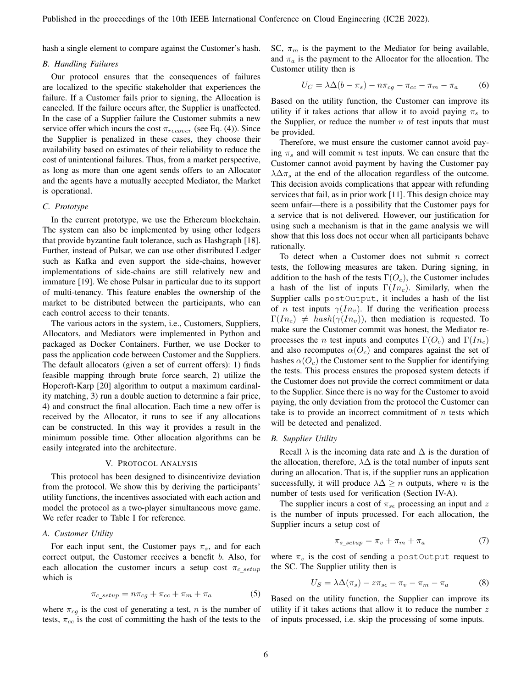hash a single element to compare against the Customer's hash.

## *B. Handling Failures*

Our protocol ensures that the consequences of failures are localized to the specific stakeholder that experiences the failure. If a Customer fails prior to signing, the Allocation is canceled. If the failure occurs after, the Supplier is unaffected. In the case of a Supplier failure the Customer submits a new service offer which incurs the cost  $\pi_{recover}$  (see Eq. (4)). Since the Supplier is penalized in these cases, they choose their availability based on estimates of their reliability to reduce the cost of unintentional failures. Thus, from a market perspective, as long as more than one agent sends offers to an Allocator and the agents have a mutually accepted Mediator, the Market is operational.

# *C. Prototype*

In the current prototype, we use the Ethereum blockchain. The system can also be implemented by using other ledgers that provide byzantine fault tolerance, such as Hashgraph [18]. Further, instead of Pulsar, we can use other distributed Ledger such as Kafka and even support the side-chains, however implementations of side-chains are still relatively new and immature [19]. We chose Pulsar in particular due to its support of multi-tenancy. This feature enables the ownership of the market to be distributed between the participants, who can each control access to their tenants.

The various actors in the system, i.e., Customers, Suppliers, Allocators, and Mediators were implemented in Python and packaged as Docker Containers. Further, we use Docker to pass the application code between Customer and the Suppliers. The default allocators (given a set of current offers): 1) finds feasible mapping through brute force search, 2) utilize the Hopcroft-Karp [20] algorithm to output a maximum cardinality matching, 3) run a double auction to determine a fair price, 4) and construct the final allocation. Each time a new offer is received by the Allocator, it runs to see if any allocations can be constructed. In this way it provides a result in the minimum possible time. Other allocation algorithms can be easily integrated into the architecture.

#### V. PROTOCOL ANALYSIS

This protocol has been designed to disincentivize deviation from the protocol. We show this by deriving the participants' utility functions, the incentives associated with each action and model the protocol as a two-player simultaneous move game. We refer reader to Table I for reference.

## *A. Customer Utility*

For each input sent, the Customer pays  $\pi_s$ , and for each correct output, the Customer receives a benefit b. Also, for each allocation the customer incurs a setup cost  $\pi_{c\_setup}$ which is

$$
\pi_{c\_setup} = n\pi_{cg} + \pi_{cc} + \pi_m + \pi_a \tag{5}
$$

where  $\pi_{cg}$  is the cost of generating a test, n is the number of tests,  $\pi_{cc}$  is the cost of committing the hash of the tests to the

SC,  $\pi_m$  is the payment to the Mediator for being available, and  $\pi_a$  is the payment to the Allocator for the allocation. The Customer utility then is

$$
U_C = \lambda \Delta (b - \pi_s) - n\pi_{cg} - \pi_{cc} - \pi_m - \pi_a \tag{6}
$$

Based on the utility function, the Customer can improve its utility if it takes actions that allow it to avoid paying  $\pi_s$  to the Supplier, or reduce the number  $n$  of test inputs that must be provided.

Therefore, we must ensure the customer cannot avoid paying  $\pi_s$  and will commit n test inputs. We can ensure that the Customer cannot avoid payment by having the Customer pay  $\lambda \Delta \pi_s$  at the end of the allocation regardless of the outcome. This decision avoids complications that appear with refunding services that fail, as in prior work [11]. This design choice may seem unfair—there is a possibility that the Customer pays for a service that is not delivered. However, our justification for using such a mechanism is that in the game analysis we will show that this loss does not occur when all participants behave rationally.

To detect when a Customer does not submit  $n$  correct tests, the following measures are taken. During signing, in addition to the hash of the tests  $\Gamma(O_c)$ , the Customer includes a hash of the list of inputs  $\Gamma(In_c)$ . Similarly, when the Supplier calls postOutput, it includes a hash of the list of *n* test inputs  $\gamma(In_v)$ . If during the verification process  $\Gamma(In_c) \neq hash(\gamma(In_v))$ , then mediation is requested. To make sure the Customer commit was honest, the Mediator reprocesses the *n* test inputs and computes  $\Gamma(O_c)$  and  $\Gamma(In_c)$ and also recomputes  $\alpha(O_c)$  and compares against the set of hashes  $\alpha(O_c)$  the Customer sent to the Supplier for identifying the tests. This process ensures the proposed system detects if the Customer does not provide the correct commitment or data to the Supplier. Since there is no way for the Customer to avoid paying, the only deviation from the protocol the Customer can take is to provide an incorrect commitment of  $n$  tests which will be detected and penalized.

#### *B. Supplier Utility*

Recall  $\lambda$  is the incoming data rate and  $\Delta$  is the duration of the allocation, therefore,  $\lambda\Delta$  is the total number of inputs sent during an allocation. That is, if the supplier runs an application successfully, it will produce  $\lambda \Delta \geq n$  outputs, where n is the number of tests used for verification (Section IV-A).

The supplier incurs a cost of  $\pi_{s\epsilon}$  processing an input and z is the number of inputs processed. For each allocation, the Supplier incurs a setup cost of

$$
\pi_{s\_setup} = \pi_v + \pi_m + \pi_a \tag{7}
$$

where  $\pi_v$  is the cost of sending a postOutput request to the SC. The Supplier utility then is

$$
U_S = \lambda \Delta(\pi_s) - z\pi_{s\epsilon} - \pi_v - \pi_m - \pi_a \tag{8}
$$

Based on the utility function, the Supplier can improve its utility if it takes actions that allow it to reduce the number  $z$ of inputs processed, i.e. skip the processing of some inputs.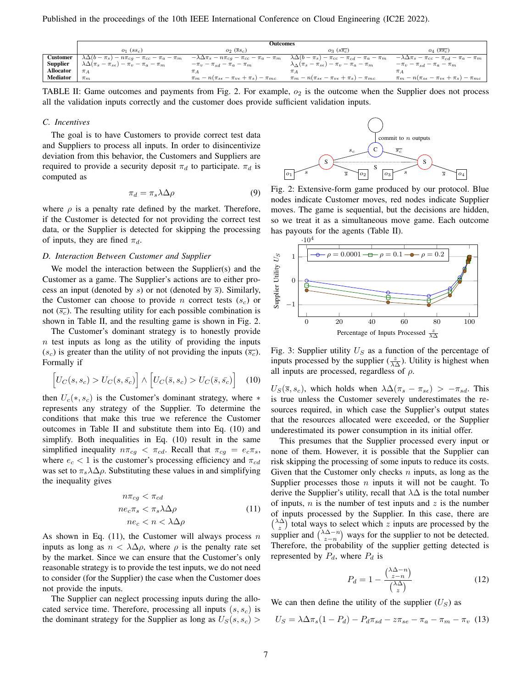|                 | Outcomes                                                     |                                                                   |                                                                     |                                                                   |  |  |  |  |
|-----------------|--------------------------------------------------------------|-------------------------------------------------------------------|---------------------------------------------------------------------|-------------------------------------------------------------------|--|--|--|--|
|                 | $O_1$ $(SS_c)$                                               | $o_2$ (ss <sub>c</sub> )                                          | $o_3$ ( $s\overline{s_c}$ )                                         | $O_4$ (SS <sub>c</sub> )                                          |  |  |  |  |
| <b>Customer</b> | $\lambda \Delta (b-\pi_s)-n\pi_{cg}-\pi_{cc}-\pi_a-\pi_m$    | $-\lambda\Delta\pi_s - n\pi_{cg} - \pi_{cc} - \pi_a - \pi_m$      | $\lambda \Delta (b-\pi_s)-\pi_{cc}-\pi_{cd}-\pi_a-\pi_m$            | $-\lambda\Delta\pi_s - \pi_{cc} - \pi_{cd} - \pi_a - \pi_m$       |  |  |  |  |
| <b>Supplier</b> | , $\lambda \Delta (\pi_s-\pi_{s\epsilon})-\pi_v-\pi_a-\pi_m$ | $-\pi_v - \pi_{sd} - \pi_a - \pi_m$                               | $\lambda_{\Delta}(\pi_s - \pi_{s\epsilon}) - \pi_v - \pi_a - \pi_m$ | $-\pi_v - \pi_{sd} - \pi_a - \pi_m$                               |  |  |  |  |
| Allocator       | $\pi_A$                                                      |                                                                   | $\pi_A$                                                             | $\pi_A$                                                           |  |  |  |  |
| <b>Mediator</b> | $\pi_m$                                                      | $\pi_m - n(\pi_{s\epsilon} - \pi_{v\epsilon} + \pi_s) - \pi_{mc}$ | $\pi_m - n(\pi_{s\epsilon} - \pi_{v\epsilon} + \pi_s) - \pi_{mc}$   | $\pi_m - n(\pi_{s\epsilon} - \pi_{v\epsilon} + \pi_s) - \pi_{mc}$ |  |  |  |  |

TABLE II: Game outcomes and payments from Fig. 2. For example,  $o_2$  is the outcome when the Supplier does not process all the validation inputs correctly and the customer does provide sufficient validation inputs.

#### *C. Incentives*

The goal is to have Customers to provide correct test data and Suppliers to process all inputs. In order to disincentivize deviation from this behavior, the Customers and Suppliers are required to provide a security deposit  $\pi_d$  to participate.  $\pi_d$  is computed as

$$
\pi_d = \pi_s \lambda \Delta \rho \tag{9}
$$

where  $\rho$  is a penalty rate defined by the market. Therefore, if the Customer is detected for not providing the correct test data, or the Supplier is detected for skipping the processing of inputs, they are fined  $\pi_d$ .

## *D. Interaction Between Customer and Supplier*

We model the interaction between the Supplier(s) and the Customer as a game. The Supplier's actions are to either process an input (denoted by s) or not (denoted by  $\overline{s}$ ). Similarly, the Customer can choose to provide *n* correct tests  $(s<sub>c</sub>)$  or not  $(\overline{s_c})$ . The resulting utility for each possible combination is shown in Table II, and the resulting game is shown in Fig. 2.

The Customer's dominant strategy is to honestly provide  $n$  test inputs as long as the utility of providing the inputs  $(s_c)$  is greater than the utility of not providing the inputs  $(\overline{s_c})$ . Formally if

$$
\left[U_C(s, s_c) > U_C(s, \bar{s_c})\right] \wedge \left[U_C(\bar{s}, s_c) > U_C(\bar{s}, \bar{s_c})\right] \tag{10}
$$

then  $U_c(*, s_c)$  is the Customer's dominant strategy, where  $*$ represents any strategy of the Supplier. To determine the conditions that make this true we reference the Customer outcomes in Table II and substitute them into Eq. (10) and simplify. Both inequalities in Eq. (10) result in the same simplified inequality  $n\pi_{cg} < \pi_{cd}$ . Recall that  $\pi_{cg} = e_c \pi_s$ , where  $e_c < 1$  is the customer's processing efficiency and  $\pi_{cd}$ was set to  $\pi_s \lambda \Delta \rho$ . Substituting these values in and simplifying the inequality gives

$$
n\pi_{cg} < \pi_{cd}
$$
\n
$$
n e_c \pi_s < \pi_s \lambda \Delta \rho
$$
\n
$$
n e_c < n < \lambda \Delta \rho
$$
\n
$$
(11)
$$

As shown in Eq. (11), the Customer will always process n inputs as long as  $n < \lambda \Delta \rho$ , where  $\rho$  is the penalty rate set by the market. Since we can ensure that the Customer's only reasonable strategy is to provide the test inputs, we do not need to consider (for the Supplier) the case when the Customer does not provide the inputs.

The Supplier can neglect processing inputs during the allocated service time. Therefore, processing all inputs  $(s, s_c)$  is the dominant strategy for the Supplier as long as  $U_S(s, s_c)$ 



Fig. 2: Extensive-form game produced by our protocol. Blue nodes indicate Customer moves, red nodes indicate Supplier moves. The game is sequential, but the decisions are hidden, so we treat it as a simultaneous move game. Each outcome has payouts for the agents (Table II).



Fig. 3: Supplier utility  $U<sub>S</sub>$  as a function of the percentage of inputs processed by the supplier  $(\frac{z}{\lambda \Delta})$ . Utility is highest when all inputs are processed, regardless of  $\rho$ .

 $U_S(\bar{s}, s_c)$ , which holds when  $\lambda \Delta(\pi_s - \pi_{s\epsilon}) > -\pi_{sd}$ . This is true unless the Customer severely underestimates the resources required, in which case the Supplier's output states that the resources allocated were exceeded, or the Supplier underestimated its power consumption in its initial offer.

This presumes that the Supplier processed every input or none of them. However, it is possible that the Supplier can risk skipping the processing of some inputs to reduce its costs. Given that the Customer only checks  $n$  inputs, as long as the Supplier processes those  $n$  inputs it will not be caught. To derive the Supplier's utility, recall that  $\lambda\Delta$  is the total number of inputs,  $n$  is the number of test inputs and  $z$  is the number of inputs processed by the Supplier. In this case, there are  $\binom{\lambda\Delta}{z}$  total ways to select which z inputs are processed by the supplier and  $\binom{\lambda \Delta - n}{z - n}$  ways for the supplier to not be detected. Therefore, the probability of the supplier getting detected is represented by  $P_d$ , where  $P_d$  is

$$
P_d = 1 - \frac{\binom{\lambda \Delta - n}{z - n}}{\binom{\lambda \Delta}{z}} \tag{12}
$$

We can then define the utility of the supplier  $(U<sub>S</sub>)$  as

$$
U_S = \lambda \Delta \pi_s (1 - P_d) - P_d \pi_{sd} - z \pi_{se} - \pi_a - \pi_m - \pi_v
$$
 (13)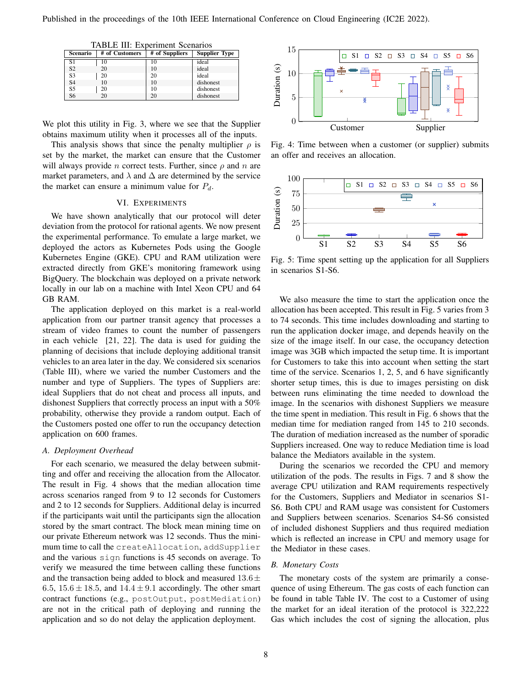| Scenario       | # of Customers | # of Suppliers | <b>Supplier Type</b> |
|----------------|----------------|----------------|----------------------|
| S1             | 10             | 10             | ideal                |
| S <sub>2</sub> | 20             | 10             | ideal                |
| S <sub>3</sub> | 20             | 20             | ideal                |
| S <sub>4</sub> | 10             | 10             | dishonest            |
| S <sub>5</sub> | 20             | 10             | dishonest            |
| S <sub>6</sub> | 20             | 20             | dishonest            |

TABLE III: Experiment Scenarios

We plot this utility in Fig. 3, where we see that the Supplier obtains maximum utility when it processes all of the inputs.

This analysis shows that since the penalty multiplier  $\rho$  is set by the market, the market can ensure that the Customer will always provide *n* correct tests. Further, since  $\rho$  and *n* are market parameters, and  $\lambda$  and  $\Delta$  are determined by the service the market can ensure a minimum value for  $P_d$ .

## VI. EXPERIMENTS

We have shown analytically that our protocol will deter deviation from the protocol for rational agents. We now present the experimental performance. To emulate a large market, we deployed the actors as Kubernetes Pods using the Google Kubernetes Engine (GKE). CPU and RAM utilization were extracted directly from GKE's monitoring framework using BigQuery. The blockchain was deployed on a private network locally in our lab on a machine with Intel Xeon CPU and 64 GB RAM.

The application deployed on this market is a real-world application from our partner transit agency that processes a stream of video frames to count the number of passengers in each vehicle [21, 22]. The data is used for guiding the planning of decisions that include deploying additional transit vehicles to an area later in the day. We considered six scenarios (Table III), where we varied the number Customers and the number and type of Suppliers. The types of Suppliers are: ideal Suppliers that do not cheat and process all inputs, and dishonest Suppliers that correctly process an input with a 50% probability, otherwise they provide a random output. Each of the Customers posted one offer to run the occupancy detection application on 600 frames.

#### *A. Deployment Overhead*

For each scenario, we measured the delay between submitting and offer and receiving the allocation from the Allocator. The result in Fig. 4 shows that the median allocation time across scenarios ranged from 9 to 12 seconds for Customers and 2 to 12 seconds for Suppliers. Additional delay is incurred if the participants wait until the participants sign the allocation stored by the smart contract. The block mean mining time on our private Ethereum network was 12 seconds. Thus the minimum time to call the createAllocation, addSupplier and the various sign functions is 45 seconds on average. To verify we measured the time between calling these functions and the transaction being added to block and measured  $13.6\pm$ 6.5,  $15.6 \pm 18.5$ , and  $14.4 \pm 9.1$  accordingly. The other smart contract functions (e.g., postOutput, postMediation) are not in the critical path of deploying and running the application and so do not delay the application deployment.



Fig. 4: Time between when a customer (or supplier) submits an offer and receives an allocation.



Fig. 5: Time spent setting up the application for all Suppliers in scenarios S1-S6.

We also measure the time to start the application once the allocation has been accepted. This result in Fig. 5 varies from 3 to 74 seconds. This time includes downloading and starting to run the application docker image, and depends heavily on the size of the image itself. In our case, the occupancy detection image was 3GB which impacted the setup time. It is important for Customers to take this into account when setting the start time of the service. Scenarios 1, 2, 5, and 6 have significantly shorter setup times, this is due to images persisting on disk between runs eliminating the time needed to download the image. In the scenarios with dishonest Suppliers we measure the time spent in mediation. This result in Fig. 6 shows that the median time for mediation ranged from 145 to 210 seconds. The duration of mediation increased as the number of sporadic Suppliers increased. One way to reduce Mediation time is load balance the Mediators available in the system.

During the scenarios we recorded the CPU and memory utilization of the pods. The results in Figs. 7 and 8 show the average CPU utilization and RAM requirements respectively for the Customers, Suppliers and Mediator in scenarios S1- S6. Both CPU and RAM usage was consistent for Customers and Suppliers between scenarios. Scenarios S4-S6 consisted of included dishonest Suppliers and thus required mediation which is reflected an increase in CPU and memory usage for the Mediator in these cases.

## *B. Monetary Costs*

The monetary costs of the system are primarily a consequence of using Ethereum. The gas costs of each function can be found in table Table IV. The cost to a Customer of using the market for an ideal iteration of the protocol is 322,222 Gas which includes the cost of signing the allocation, plus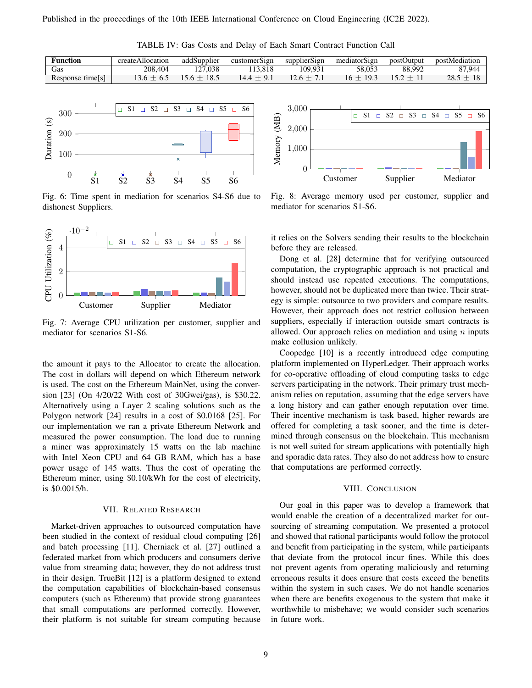TABLE IV: Gas Costs and Delay of Each Smart Contract Function Call

| Function        | createAllocation | addSupplier     | customerSign | supplierSign | mediatorSign | postOutput | postMediation |
|-----------------|------------------|-----------------|--------------|--------------|--------------|------------|---------------|
| Gas             | 208.404          | .038            | 13.818       | 109.931      | 58.053       | 88.992     | 87.944        |
| Response time s | $3.6 \pm 6.5$    | $15.6 \pm 18.5$ | $14.4 + 9.$  |              | $16 + 193$   |            | $28.5 + 1$    |



Fig. 6: Time spent in mediation for scenarios S4-S6 due to dishonest Suppliers.



Fig. 7: Average CPU utilization per customer, supplier and mediator for scenarios S1-S6.

the amount it pays to the Allocator to create the allocation. The cost in dollars will depend on which Ethereum network is used. The cost on the Ethereum MainNet, using the conversion [23] (On 4/20/22 With cost of 30Gwei/gas), is \$30.22. Alternatively using a Layer 2 scaling solutions such as the Polygon network [24] results in a cost of \$0.0168 [25]. For our implementation we ran a private Ethereum Network and measured the power consumption. The load due to running a miner was approximately 15 watts on the lab machine with Intel Xeon CPU and 64 GB RAM, which has a base power usage of 145 watts. Thus the cost of operating the Ethereum miner, using \$0.10/kWh for the cost of electricity, is \$0.0015/h.

#### VII. RELATED RESEARCH

Market-driven approaches to outsourced computation have been studied in the context of residual cloud computing [26] and batch processing [11]. Cherniack et al. [27] outlined a federated market from which producers and consumers derive value from streaming data; however, they do not address trust in their design. TrueBit [12] is a platform designed to extend the computation capabilities of blockchain-based consensus computers (such as Ethereum) that provide strong guarantees that small computations are performed correctly. However, their platform is not suitable for stream computing because



Fig. 8: Average memory used per customer, supplier and mediator for scenarios S1-S6.

it relies on the Solvers sending their results to the blockchain before they are released.

Dong et al. [28] determine that for verifying outsourced computation, the cryptographic approach is not practical and should instead use repeated executions. The computations, however, should not be duplicated more than twice. Their strategy is simple: outsource to two providers and compare results. However, their approach does not restrict collusion between suppliers, especially if interaction outside smart contracts is allowed. Our approach relies on mediation and using  $n$  inputs make collusion unlikely.

Coopedge [10] is a recently introduced edge computing platform implemented on HyperLedger. Their approach works for co-operative offloading of cloud computing tasks to edge servers participating in the network. Their primary trust mechanism relies on reputation, assuming that the edge servers have a long history and can gather enough reputation over time. Their incentive mechanism is task based, higher rewards are offered for completing a task sooner, and the time is determined through consensus on the blockchain. This mechanism is not well suited for stream applications with potentially high and sporadic data rates. They also do not address how to ensure that computations are performed correctly.

## VIII. CONCLUSION

Our goal in this paper was to develop a framework that would enable the creation of a decentralized market for outsourcing of streaming computation. We presented a protocol and showed that rational participants would follow the protocol and benefit from participating in the system, while participants that deviate from the protocol incur fines. While this does not prevent agents from operating maliciously and returning erroneous results it does ensure that costs exceed the benefits within the system in such cases. We do not handle scenarios when there are benefits exogenous to the system that make it worthwhile to misbehave; we would consider such scenarios in future work.